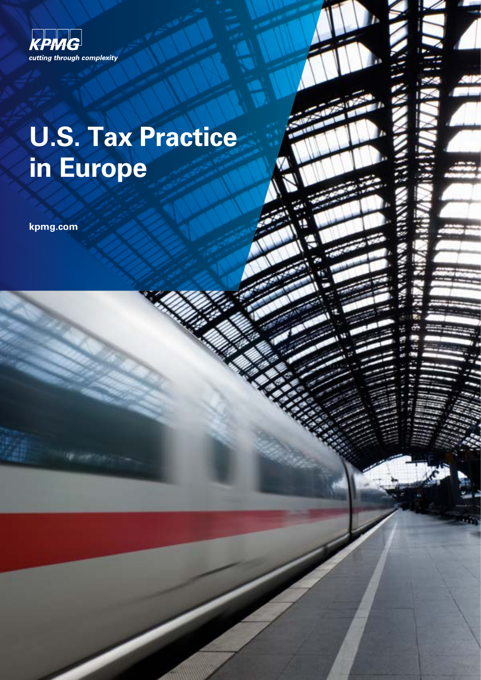

## **U.S. Tax Practice in Europe**

**kpmg.com**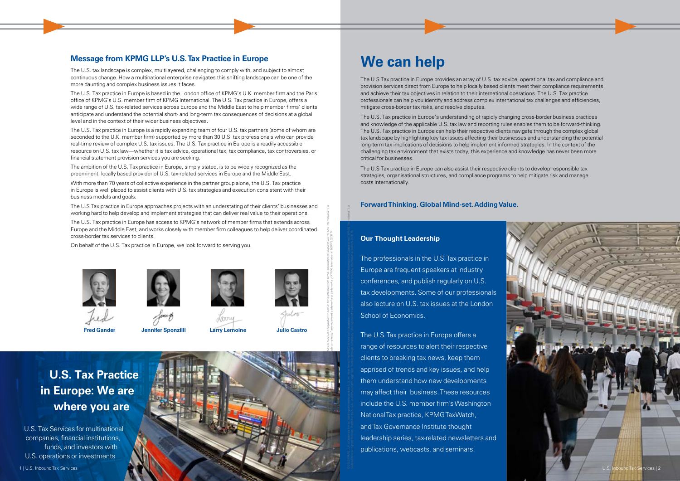## **U.S. Tax Practice in Europe: We are where you are**

U.S. Tax Services for multinational companies, financial institutions, funds, and investors with U.S. operations or investments







dina



### **Message from KPMG LLP's U.S. Tax Practice in Europe**

The U.S. tax landscape is complex, multilayered, challenging to comply with, and subject to almost continuous change. How a multinational enterprise navigates this shifting landscape can be one of the more daunting and complex business issues it faces.

The U.S. Tax practice in Europe is based in the London office of KPMG's U.K. member firm and the Paris office of KPMG's U.S. member firm of KPMG International. The U.S. Tax practice in Europe, offers a wide range of U.S. tax-related services across Europe and the Middle East to help member firms' clients anticipate and understand the potential short- and long-term tax consequences of decisions at a global level and in the context of their wider business objectives.

The U.S. Tax practice in Europe is a rapidly expanding team of four U.S. tax partners (some of whom are seconded to the U.K. member firm) supported by more than 30 U.S. tax professionals who can provide real-time review of complex U.S. tax issues. The U.S. Tax practice in Europe is a readily accessible resource on U.S. tax law—whether it is tax advice, operational tax, tax compliance, tax controversies, or financial statement provision services you are seeking.

The ambition of the U.S. Tax practice in Europe, simply stated, is to be widely recognized as the preeminent, locally based provider of U.S. tax-related services in Europe and the Middle East.

With more than 70 years of collective experience in the partner group alone, the U.S. Tax practice in Europe is well placed to assist clients with U.S. tax strategies and execution consistent with their business models and goals.

The U.S Tax practice in Europe approaches projects with an understating of their clients' businesses and working hard to help develop and implement strategies that can deliver real value to their operations.

The U.S. Tax practice in Europe has access to KPMG's network of member firms that extends across Europe and the Middle East, and works closely with member firm colleagues to help deliver coordinated cross-border tax services to clients.

On behalf of the U.S. Tax practice in Europe, we look forward to serving you.







**Larry Lemoine Julio Castro**

## **We can help**



The U.S Tax practice in Europe provides an array of U.S. tax advice, operational tax and compliance and provision services direct from Europe to help locally based clients meet their compliance requirements and achieve their tax objectives in relation to their international operations. The U.S. Tax practice professionals can help you identify and address complex international tax challenges and efficiencies, mitigate cross-border tax risks, and resolve disputes.

The U.S. Tax practice in Europe's understanding of rapidly changing cross-border business practices and knowledge of the applicable U.S. tax law and reporting rules enables them to be forward-thinking. The U.S. Tax practice in Europe can help their respective clients navigate through the complex global tax landscape by highlighting key tax issues affecting their businesses and understanding the potential long-term tax implications of decisions to help implement informed strategies. In the context of the challenging tax environment that exists today, this experience and knowledge has never been more critical for businesses.

The U.S Tax practice in Europe can also assist their respective clients to develop responsible tax strategies, organisational structures, and compliance programs to help mitigate risk and manage costs internationally.

#### **Forward Thinking. Global Mind-set. Adding Value.**

#### **Our Thought Leadership**

The professionals in the U.S. Tax practice in Europe are frequent speakers at industry conferences, and publish regularly on U.S. tax developments. Some of our professionals also lecture on U.S. tax issues at the London School of Economics.

The U.S. Tax practice in Europe offers a range of resources to alert their respective clients to breaking tax news, keep them apprised of trends and key issues, and help them understand how new developments may affect their business. These resources include the U.S. member firm's Washington National Tax practice, KPMG TaxWatch, and Tax Governance Institute thought leadership series, tax-related newsletters and publications, webcasts, and seminars.



irms affiliated with KPMG International Cooperative ("KPMG International"), a

© 2013 KPMG LLP, a Delaware limited liability partnership and the U.S. member firm of the KPMG network of independent member firms affiliated with KPMG International Cooperative ("KPMG International"), a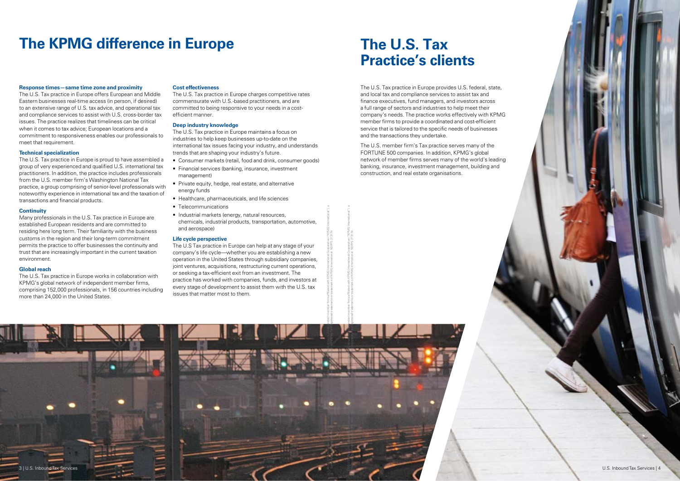## **The KPMG difference in Europe The U.S. Tax**

# **Practice's clients**

#### **Response times—same time zone and proximity**

The U.S. Tax practice in Europe offers European and Middle Eastern businesses real-time access (in person, if desired) to an extensive range of U.S. tax advice, and operational tax and compliance services to assist with U.S. cross-border tax issues. The practice realizes that timeliness can be critical when it comes to tax advice; European locations and a commitment to responsiveness enables our professionals to meet that requirement.

#### **Technical specialization**

The U.S. Tax practice in Europe is proud to have assembled a group of very experienced and qualified U.S. international tax practitioners. In addition, the practice includes professionals from the U.S. member firm's Washington National Tax practice, a group comprising of senior-level professionals with noteworthy experience in international tax and the taxation of transactions and financial products.

#### **Continuity**

Many professionals in the U.S. Tax practice in Europe are established European residents and are committed to residing here long term. Their familiarity with the business customs in the region and their long-term commitment permits the practice to offer businesses the continuity and trust that are increasingly important in the current taxation environment.

#### **Global reach**

The U.S. Tax practice in Europe works in collaboration with KPMG's global network of independent member firms, comprising 152,000 professionals, in 156 countries including more than 24,000 in the United States.

#### **Cost effectiveness**

The U.S. Tax practice in Europe charges competitive rates commensurate with U.S.-based practitioners, and are committed to being responsive to your needs in a costefficient manner.

#### **Deep industry knowledge**

The U.S. Tax practice in Europe maintains a focus on industries to help keep businesses up-to-date on the international tax issues facing your industry, and understands trends that are shaping your industry's future.



- Consumer markets (retail, food and drink, consumer goods)
- Financial services (banking, insurance, investment management)
- Private equity, hedge, real estate, and alternative energy funds
- Healthcare, pharmaceuticals, and life sciences
- Telecommunications
- Industrial markets (energy, natural resources, chemicals, industrial products, transportation, automotive, and aerospace)

#### **Life cycle perspective**

The U.S Tax practice in Europe can help at any stage of your company's life cycle—whether you are establishing a new operation in the United States through subsidiary companies, joint ventures, acquisitions, restructuring current operations, or seeking a tax-efficient exit from an investment. The practice has worked with companies, funds, and investors at every stage of development to assist them with the U.S. tax issues that matter most to them.

The U.S. Tax practice in Europe provides U.S. federal, state, and local tax and compliance services to assist tax and finance executives, fund managers, and investors across a full range of sectors and industries to help meet their company's needs. The practice works effectively with KPMG member firms to provide a coordinated and cost-efficient service that is tailored to the specific needs of businesses and the transactions they undertake.

The U.S. member firm's Tax practice serves many of the FORTUNE 500 companies. In addition, KPMG's global network of member firms serves many of the world's leading banking, insurance, investment management, building and construction, and real estate organisations.

irms affiliated with KPMG International Cooperative ("KPMG International"), a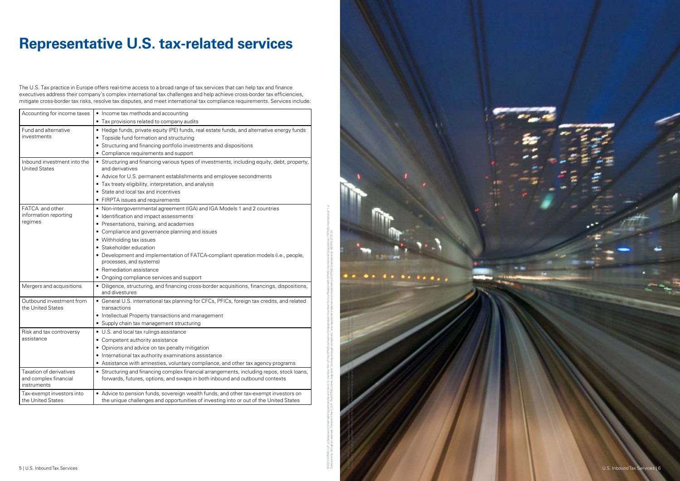© 2013 KPMG LLP, a Delaware limited liability partnership and the U.S. member firms af independent member firms affiliated with KPMG international Cooperative ("KPMG International Cooperative Cooperative Cooperational dist Swiss entity. All rights reserved. Printed in the U.S.A. The KPMG name, logo and "cutting through complexity" are registered to  $\mathbb{R}^n$  are registered trademarks registered trademarks  $\mathbb{R}^n$  and  $\mathbb{R}^n$  are regi  $......$ 5 | U.S. Inbound Tax Services U.S. Inbound Tax Services | 6

## **Representative U.S. tax-related services**

The U.S. Tax practice in Europe offers real-time access to a broad range of tax services that can help tax and finance executives address their company's complex international tax challenges and help achieve cross-border tax efficiencies, mitigate cross-border tax risks, resolve tax disputes, and meet international tax compliance requirements. Services include:

| Accounting for income taxes                                     | • Income tax methods and accounting                                                                                                                                           |
|-----------------------------------------------------------------|-------------------------------------------------------------------------------------------------------------------------------------------------------------------------------|
|                                                                 | • Tax provisions related to company audits                                                                                                                                    |
| Fund and alternative<br>investments                             | • Hedge funds, private equity (PE) funds, real estate funds, and alternative energy funds                                                                                     |
|                                                                 | • Topside fund formation and structuring                                                                                                                                      |
|                                                                 | • Structuring and financing portfolio investments and dispositions                                                                                                            |
|                                                                 | • Compliance requirements and support                                                                                                                                         |
| Inbound investment into the<br><b>United States</b>             | • Structuring and financing various types of investments, including equity, debt, property,<br>and derivatives                                                                |
|                                                                 | • Advice for U.S. permanent establishments and employee secondments                                                                                                           |
|                                                                 | • Tax treaty eligibility, interpretation, and analysis                                                                                                                        |
|                                                                 | • State and local tax and incentives                                                                                                                                          |
|                                                                 | • FIRPTA issues and requirements                                                                                                                                              |
| FATCA and other<br>information reporting<br>regimes             | • Non-intergovernmental agreement (IGA) and IGA Models 1 and 2 countries                                                                                                      |
|                                                                 | • Identification and impact assessments                                                                                                                                       |
|                                                                 | • Presentations, training, and academies                                                                                                                                      |
|                                                                 | • Compliance and governance planning and issues                                                                                                                               |
|                                                                 | • Withholding tax issues                                                                                                                                                      |
|                                                                 | • Stakeholder education                                                                                                                                                       |
|                                                                 | • Development and implementation of FATCA-compliant operation models (i.e., people,<br>processes, and systems)                                                                |
|                                                                 | • Remediation assistance                                                                                                                                                      |
|                                                                 | • Ongoing compliance services and support                                                                                                                                     |
| Mergers and acquisitions                                        | • Diligence, structuring, and financing cross-border acquisitions, financings, dispositions,<br>and divestures                                                                |
| Outbound investment from<br>the United States                   | • General U.S. international tax planning for CFCs, PFICs, foreign tax credits, and related<br>transactions                                                                   |
|                                                                 | • Intellectual Property transactions and management                                                                                                                           |
|                                                                 | • Supply chain tax management structuring                                                                                                                                     |
| Risk and tax controversy<br>assistance                          | • U.S. and local tax rulings assistance                                                                                                                                       |
|                                                                 | • Competent authority assistance                                                                                                                                              |
|                                                                 | • Opinions and advice on tax penalty mitigation                                                                                                                               |
|                                                                 | • International tax authority examinations assistance                                                                                                                         |
|                                                                 | • Assistance with amnesties, voluntary compliance, and other tax agency programs                                                                                              |
| Taxation of derivatives<br>and complex financial<br>instruments | • Structuring and financing complex financial arrangements, including repos, stock loans,<br>forwards, futures, options, and swaps in both inbound and outbound contexts      |
| Tax-exempt investors into<br>the United States                  | • Advice to pension funds, sovereign wealth funds, and other tax-exempt investors on<br>the unique challenges and opportunities of investing into or out of the United States |

© 2013 KPMG LLP, a Delaware limited liability partnership and the U.S. member firm of the KPMG network of independent member f

irms affiliated with KPMG International Cooperative ("KPMG International"), a

Swiss entity. All rights reserved. Printed in the U.S.A. The KPMG name, logo and "cutting through complexity" are registered trademarks or trademarks of KPMG International. NDPPS 213174